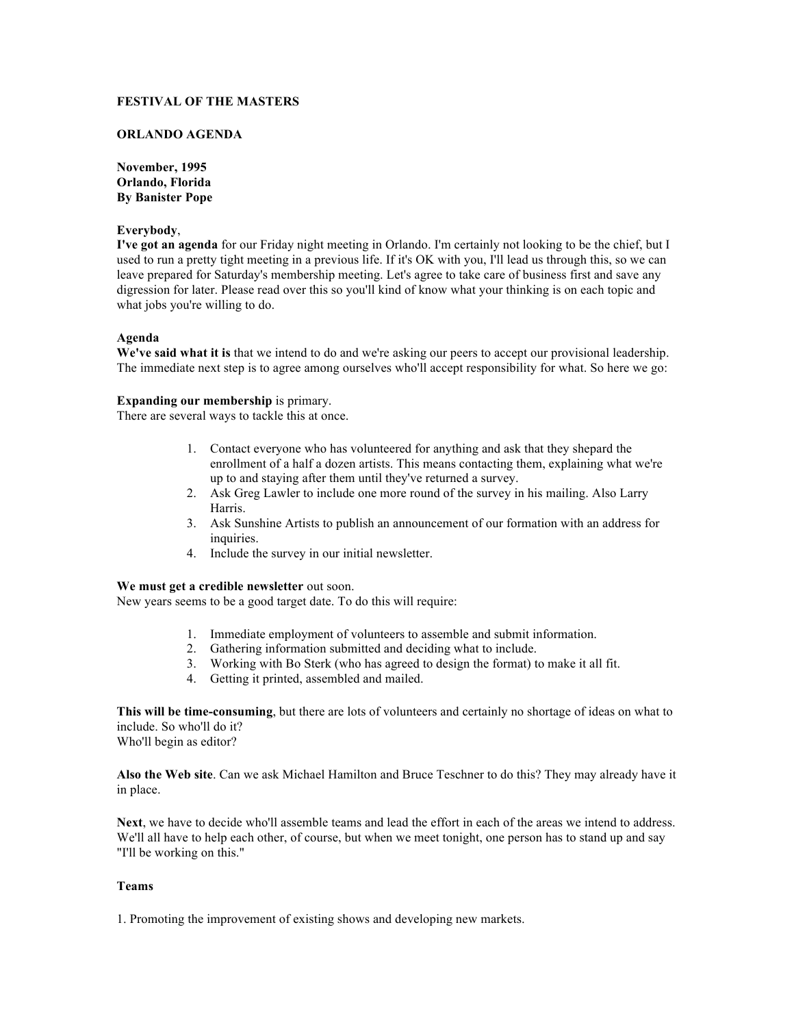# **FESTIVAL OF THE MASTERS**

### **ORLANDO AGENDA**

**November, 1995 Orlando, Florida By Banister Pope** 

#### **Everybody**,

**I've got an agenda** for our Friday night meeting in Orlando. I'm certainly not looking to be the chief, but I used to run a pretty tight meeting in a previous life. If it's OK with you, I'll lead us through this, so we can leave prepared for Saturday's membership meeting. Let's agree to take care of business first and save any digression for later. Please read over this so you'll kind of know what your thinking is on each topic and what jobs you're willing to do.

#### **Agenda**

**We've said what it is** that we intend to do and we're asking our peers to accept our provisional leadership. The immediate next step is to agree among ourselves who'll accept responsibility for what. So here we go:

#### **Expanding our membership** is primary.

There are several ways to tackle this at once.

- 1. Contact everyone who has volunteered for anything and ask that they shepard the enrollment of a half a dozen artists. This means contacting them, explaining what we're up to and staying after them until they've returned a survey.
- 2. Ask Greg Lawler to include one more round of the survey in his mailing. Also Larry Harris.
- 3. Ask Sunshine Artists to publish an announcement of our formation with an address for inquiries.
- 4. Include the survey in our initial newsletter.

# **We must get a credible newsletter** out soon.

New years seems to be a good target date. To do this will require:

- 1. Immediate employment of volunteers to assemble and submit information.
- 2. Gathering information submitted and deciding what to include.
- 3. Working with Bo Sterk (who has agreed to design the format) to make it all fit.
- 4. Getting it printed, assembled and mailed.

**This will be time-consuming**, but there are lots of volunteers and certainly no shortage of ideas on what to include. So who'll do it? Who'll begin as editor?

**Also the Web site**. Can we ask Michael Hamilton and Bruce Teschner to do this? They may already have it in place.

**Next**, we have to decide who'll assemble teams and lead the effort in each of the areas we intend to address. We'll all have to help each other, of course, but when we meet tonight, one person has to stand up and say "I'll be working on this."

### **Teams**

1. Promoting the improvement of existing shows and developing new markets.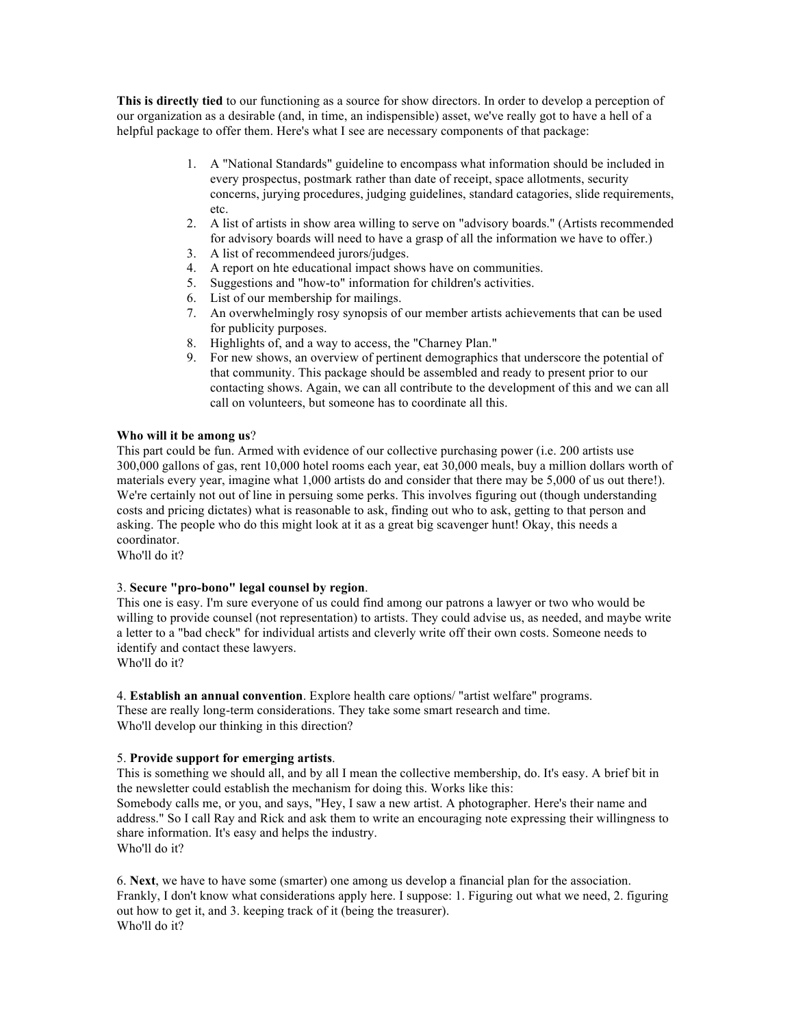**This is directly tied** to our functioning as a source for show directors. In order to develop a perception of our organization as a desirable (and, in time, an indispensible) asset, we've really got to have a hell of a helpful package to offer them. Here's what I see are necessary components of that package:

- 1. A "National Standards" guideline to encompass what information should be included in every prospectus, postmark rather than date of receipt, space allotments, security concerns, jurying procedures, judging guidelines, standard catagories, slide requirements, etc.
- 2. A list of artists in show area willing to serve on "advisory boards." (Artists recommended for advisory boards will need to have a grasp of all the information we have to offer.)
- 3. A list of recommendeed jurors/judges.
- 4. A report on hte educational impact shows have on communities.
- 5. Suggestions and "how-to" information for children's activities.
- 6. List of our membership for mailings.
- 7. An overwhelmingly rosy synopsis of our member artists achievements that can be used for publicity purposes.
- 8. Highlights of, and a way to access, the "Charney Plan."
- 9. For new shows, an overview of pertinent demographics that underscore the potential of that community. This package should be assembled and ready to present prior to our contacting shows. Again, we can all contribute to the development of this and we can all call on volunteers, but someone has to coordinate all this.

# **Who will it be among us**?

This part could be fun. Armed with evidence of our collective purchasing power (i.e. 200 artists use 300,000 gallons of gas, rent 10,000 hotel rooms each year, eat 30,000 meals, buy a million dollars worth of materials every year, imagine what 1,000 artists do and consider that there may be 5,000 of us out there!). We're certainly not out of line in persuing some perks. This involves figuring out (though understanding costs and pricing dictates) what is reasonable to ask, finding out who to ask, getting to that person and asking. The people who do this might look at it as a great big scavenger hunt! Okay, this needs a coordinator.

Who'll do it?

#### 3. **Secure "pro-bono" legal counsel by region**.

This one is easy. I'm sure everyone of us could find among our patrons a lawyer or two who would be willing to provide counsel (not representation) to artists. They could advise us, as needed, and maybe write a letter to a "bad check" for individual artists and cleverly write off their own costs. Someone needs to identify and contact these lawyers.

Who'll do it?

4. **Establish an annual convention**. Explore health care options/ "artist welfare" programs. These are really long-term considerations. They take some smart research and time. Who'll develop our thinking in this direction?

#### 5. **Provide support for emerging artists**.

This is something we should all, and by all I mean the collective membership, do. It's easy. A brief bit in the newsletter could establish the mechanism for doing this. Works like this: Somebody calls me, or you, and says, "Hey, I saw a new artist. A photographer. Here's their name and address." So I call Ray and Rick and ask them to write an encouraging note expressing their willingness to share information. It's easy and helps the industry. Who'll do it?

6. **Next**, we have to have some (smarter) one among us develop a financial plan for the association. Frankly, I don't know what considerations apply here. I suppose: 1. Figuring out what we need, 2. figuring out how to get it, and 3. keeping track of it (being the treasurer). Who'll do it?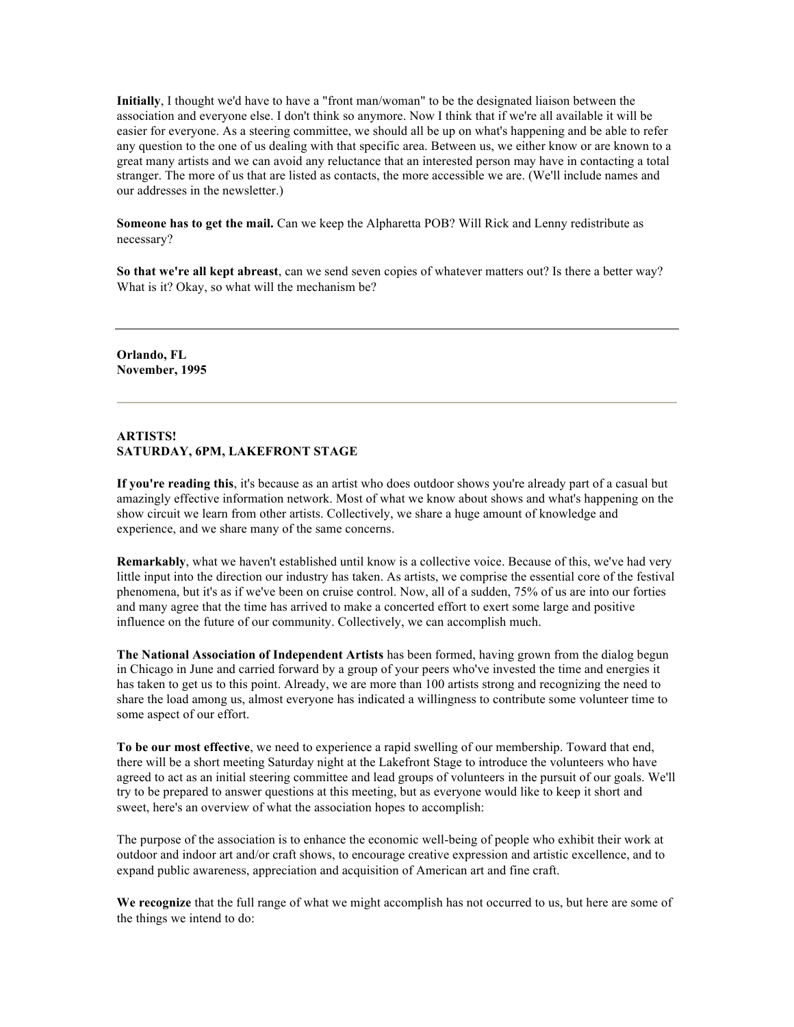**Initially**, I thought we'd have to have a "front man/woman" to be the designated liaison between the association and everyone else. I don't think so anymore. Now I think that if we're all available it will be easier for everyone. As a steering committee, we should all be up on what's happening and be able to refer any question to the one of us dealing with that specific area. Between us, we either know or are known to a great many artists and we can avoid any reluctance that an interested person may have in contacting a total stranger. The more of us that are listed as contacts, the more accessible we are. (We'll include names and our addresses in the newsletter.)

**Someone has to get the mail.** Can we keep the Alpharetta POB? Will Rick and Lenny redistribute as necessary?

**So that we're all kept abreast**, can we send seven copies of whatever matters out? Is there a better way? What is it? Okay, so what will the mechanism be?

**Orlando, FL November, 1995** 

# **ARTISTS! SATURDAY, 6PM, LAKEFRONT STAGE**

**If you're reading this**, it's because as an artist who does outdoor shows you're already part of a casual but amazingly effective information network. Most of what we know about shows and what's happening on the show circuit we learn from other artists. Collectively, we share a huge amount of knowledge and experience, and we share many of the same concerns.

**Remarkably**, what we haven't established until know is a collective voice. Because of this, we've had very little input into the direction our industry has taken. As artists, we comprise the essential core of the festival phenomena, but it's as if we've been on cruise control. Now, all of a sudden, 75% of us are into our forties and many agree that the time has arrived to make a concerted effort to exert some large and positive influence on the future of our community. Collectively, we can accomplish much.

**The National Association of Independent Artists** has been formed, having grown from the dialog begun in Chicago in June and carried forward by a group of your peers who've invested the time and energies it has taken to get us to this point. Already, we are more than 100 artists strong and recognizing the need to share the load among us, almost everyone has indicated a willingness to contribute some volunteer time to some aspect of our effort.

**To be our most effective**, we need to experience a rapid swelling of our membership. Toward that end, there will be a short meeting Saturday night at the Lakefront Stage to introduce the volunteers who have agreed to act as an initial steering committee and lead groups of volunteers in the pursuit of our goals. We'll try to be prepared to answer questions at this meeting, but as everyone would like to keep it short and sweet, here's an overview of what the association hopes to accomplish:

The purpose of the association is to enhance the economic well-being of people who exhibit their work at outdoor and indoor art and/or craft shows, to encourage creative expression and artistic excellence, and to expand public awareness, appreciation and acquisition of American art and fine craft.

**We recognize** that the full range of what we might accomplish has not occurred to us, but here are some of the things we intend to do: